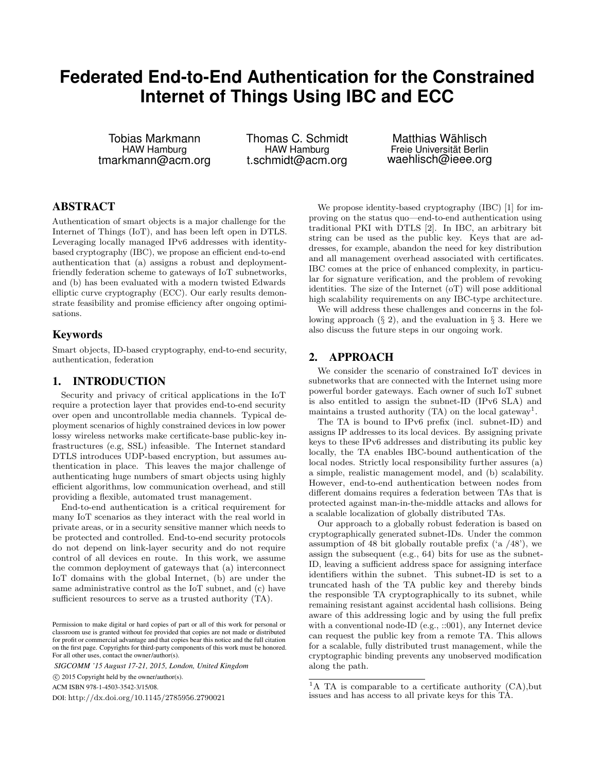# **Federated End-to-End Authentication for the Constrained Internet of Things Using IBC and ECC**

Tobias Markmann HAW Hamburg tmarkmann@acm.org

Thomas C. Schmidt HAW Hamburg t.schmidt@acm.org

Matthias Wählisch Freie Universität Berlin waehlisch@ieee.org

### ABSTRACT

Authentication of smart objects is a major challenge for the Internet of Things (IoT), and has been left open in DTLS. Leveraging locally managed IPv6 addresses with identitybased cryptography (IBC), we propose an efficient end-to-end authentication that (a) assigns a robust and deploymentfriendly federation scheme to gateways of IoT subnetworks, and (b) has been evaluated with a modern twisted Edwards elliptic curve cryptography (ECC). Our early results demonstrate feasibility and promise efficiency after ongoing optimisations.

#### Keywords

Smart objects, ID-based cryptography, end-to-end security, authentication, federation

#### 1. INTRODUCTION

Security and privacy of critical applications in the IoT require a protection layer that provides end-to-end security over open and uncontrollable media channels. Typical deployment scenarios of highly constrained devices in low power lossy wireless networks make certificate-base public-key infrastructures (e.g, SSL) infeasible. The Internet standard DTLS introduces UDP-based encryption, but assumes authentication in place. This leaves the major challenge of authenticating huge numbers of smart objects using highly efficient algorithms, low communication overhead, and still providing a flexible, automated trust management.

End-to-end authentication is a critical requirement for many IoT scenarios as they interact with the real world in private areas, or in a security sensitive manner which needs to be protected and controlled. End-to-end security protocols do not depend on link-layer security and do not require control of all devices en route. In this work, we assume the common deployment of gateways that (a) interconnect IoT domains with the global Internet, (b) are under the same administrative control as the IoT subnet, and (c) have sufficient resources to serve as a trusted authority (TA).

*SIGCOMM '15 August 17-21, 2015, London, United Kingdom*

c 2015 Copyright held by the owner/author(s).

ACM ISBN 978-1-4503-3542-3/15/08.

DOI: http://dx.doi.org/10.1145/2785956.2790021

We propose identity-based cryptography (IBC) [1] for improving on the status quo—end-to-end authentication using traditional PKI with DTLS [2]. In IBC, an arbitrary bit string can be used as the public key. Keys that are addresses, for example, abandon the need for key distribution and all management overhead associated with certificates. IBC comes at the price of enhanced complexity, in particular for signature verification, and the problem of revoking identities. The size of the Internet (oT) will pose additional high scalability requirements on any IBC-type architecture.

We will address these challenges and concerns in the following approach  $(\S 2)$ , and the evaluation in  $\S 3$ . Here we also discuss the future steps in our ongoing work.

#### 2. APPROACH

We consider the scenario of constrained IoT devices in subnetworks that are connected with the Internet using more powerful border gateways. Each owner of such IoT subnet is also entitled to assign the subnet-ID (IPv6 SLA) and maintains a trusted authority (TA) on the local gateway<sup>1</sup>.

The TA is bound to IPv6 prefix (incl. subnet-ID) and assigns IP addresses to its local devices. By assigning private keys to these IPv6 addresses and distributing its public key locally, the TA enables IBC-bound authentication of the local nodes. Strictly local responsibility further assures (a) a simple, realistic management model, and (b) scalability. However, end-to-end authentication between nodes from different domains requires a federation between TAs that is protected against man-in-the-middle attacks and allows for a scalable localization of globally distributed TAs.

Our approach to a globally robust federation is based on cryptographically generated subnet-IDs. Under the common assumption of 48 bit globally routable prefix  $(48)$ , we assign the subsequent (e.g., 64) bits for use as the subnet-ID, leaving a sufficient address space for assigning interface identifiers within the subnet. This subnet-ID is set to a truncated hash of the TA public key and thereby binds the responsible TA cryptographically to its subnet, while remaining resistant against accidental hash collisions. Being aware of this addressing logic and by using the full prefix with a conventional node-ID (e.g., ::001), any Internet device can request the public key from a remote TA. This allows for a scalable, fully distributed trust management, while the cryptographic binding prevents any unobserved modification along the path.

Permission to make digital or hard copies of part or all of this work for personal or classroom use is granted without fee provided that copies are not made or distributed for profit or commercial advantage and that copies bear this notice and the full citation on the first page. Copyrights for third-party components of this work must be honored. For all other uses, contact the owner/author(s).

<sup>&</sup>lt;sup>1</sup>A TA is comparable to a certificate authority  $(CA)$ , but issues and has access to all private keys for this TA.